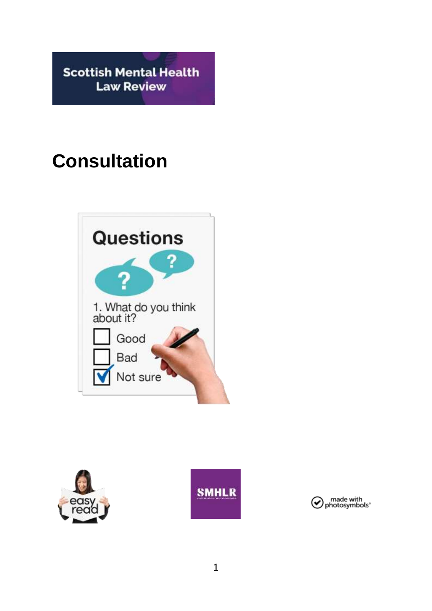**Scottish Mental Health Law Review** 

# **Consultation**







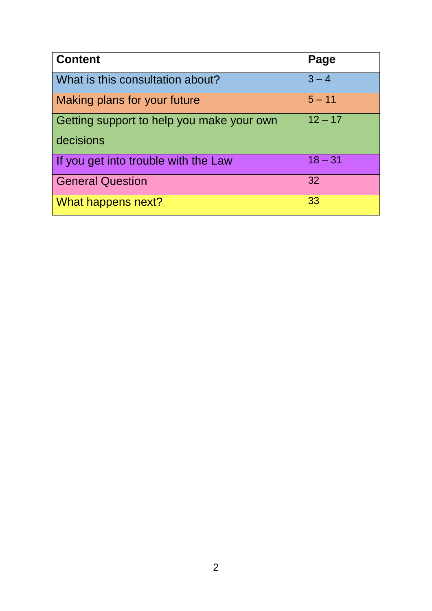| <b>Content</b>                                         | Page      |
|--------------------------------------------------------|-----------|
| What is this consultation about?                       | $3 - 4$   |
| Making plans for your future                           | $5 - 11$  |
| Getting support to help you make your own<br>decisions | $12 - 17$ |
| If you get into trouble with the Law                   | $18 - 31$ |
| <b>General Question</b>                                | 32        |
| What happens next?                                     | 33        |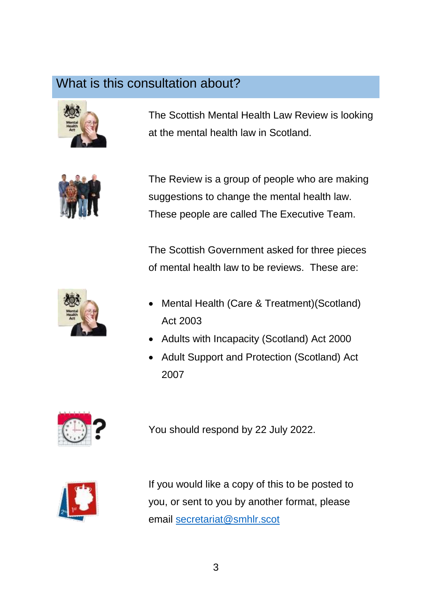#### What is this consultation about?



The Scottish Mental Health Law Review is looking at the mental health law in Scotland.



The Review is a group of people who are making suggestions to change the mental health law. These people are called The Executive Team.

The Scottish Government asked for three pieces of mental health law to be reviews. These are:



- Mental Health (Care & Treatment)(Scotland) Act 2003
- Adults with Incapacity (Scotland) Act 2000
- Adult Support and Protection (Scotland) Act 2007



You should respond by 22 July 2022.



If you would like a copy of this to be posted to you, or sent to you by another format, please email [secretariat@smhlr.scot](mailto:secretariat@smhlr.scot)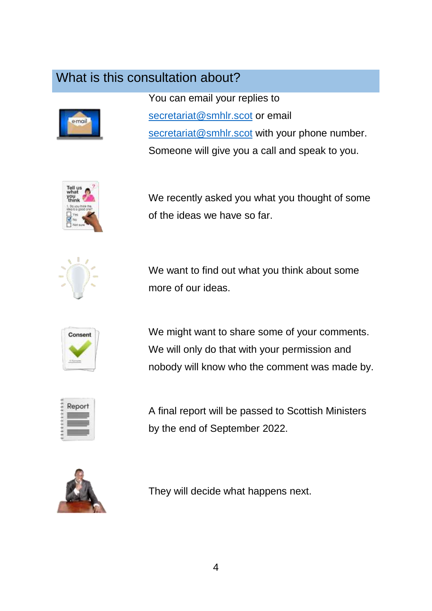### What is this consultation about?



You can email your replies to [secretariat@smhlr.scot](mailto:secretariat@smhlr.scot) or email [secretariat@smhlr.scot](mailto:secretariat@smhlr.scot) with your phone number. Someone will give you a call and speak to you.



We recently asked you what you thought of some of the ideas we have so far.



We want to find out what you think about some more of our ideas.



We might want to share some of your comments. We will only do that with your permission and nobody will know who the comment was made by.



A final report will be passed to Scottish Ministers by the end of September 2022.



They will decide what happens next.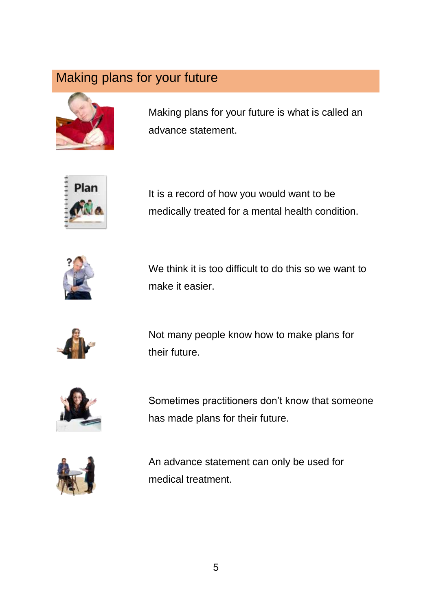

Making plans for your future is what is called an advance statement.



It is a record of how you would want to be medically treated for a mental health condition.



We think it is too difficult to do this so we want to make it easier.



Not many people know how to make plans for their future.



Sometimes practitioners don't know that someone has made plans for their future.



An advance statement can only be used for medical treatment.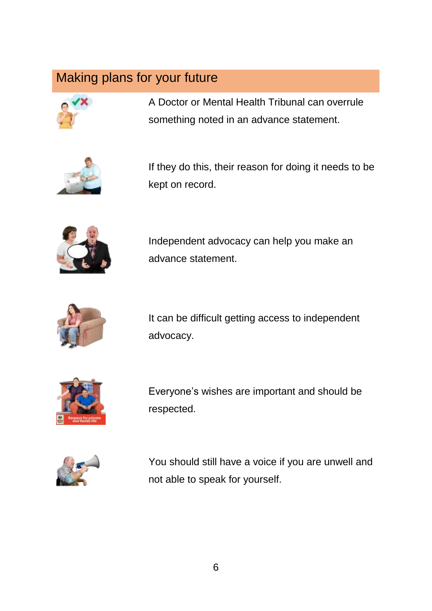



A Doctor or Mental Health Tribunal can overrule something noted in an advance statement.

If they do this, their reason for doing it needs to be kept on record.



Independent advocacy can help you make an advance statement.



It can be difficult getting access to independent advocacy.



Everyone's wishes are important and should be respected.



You should still have a voice if you are unwell and not able to speak for yourself.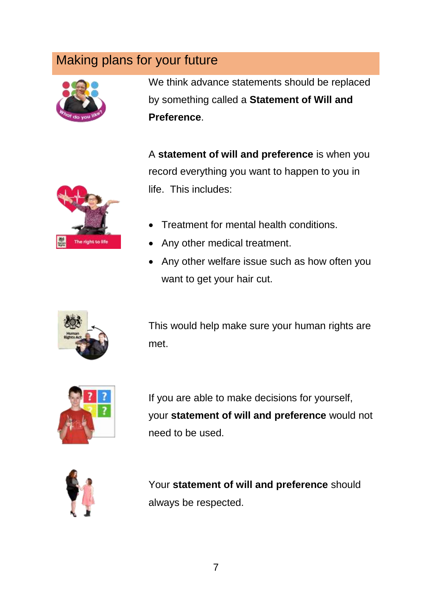

We think advance statements should be replaced by something called a **Statement of Will and Preference**.

A **statement of will and preference** is when you record everything you want to happen to you in life. This includes:

- The right to life
- Treatment for mental health conditions.
- Any other medical treatment.
- Any other welfare issue such as how often you want to get your hair cut.



This would help make sure your human rights are met.



If you are able to make decisions for yourself, your **statement of will and preference** would not need to be used.



Your **statement of will and preference** should always be respected.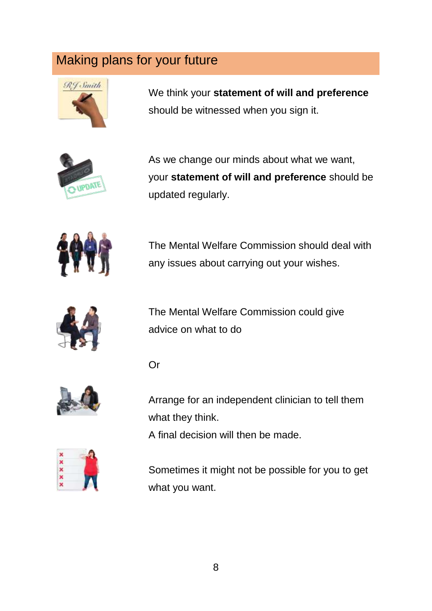Or



We think your **statement of will and preference** should be witnessed when you sign it.



As we change our minds about what we want, your **statement of will and preference** should be updated regularly.



The Mental Welfare Commission should deal with any issues about carrying out your wishes.



The Mental Welfare Commission could give advice on what to do



Arrange for an independent clinician to tell them what they think.

A final decision will then be made.



Sometimes it might not be possible for you to get what you want.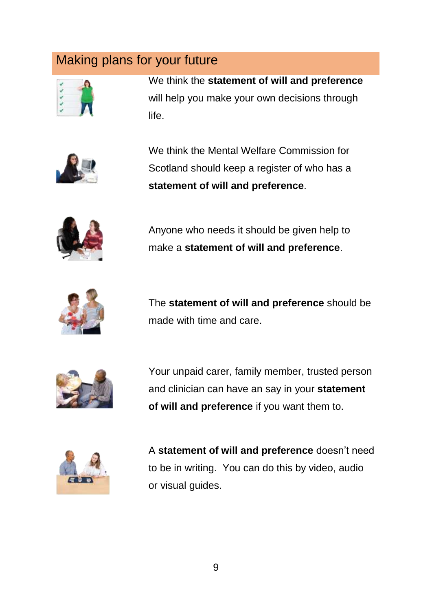

We think the **statement of will and preference** will help you make your own decisions through life.



We think the Mental Welfare Commission for Scotland should keep a register of who has a **statement of will and preference**.



Anyone who needs it should be given help to make a **statement of will and preference**.



The **statement of will and preference** should be made with time and care.



Your unpaid carer, family member, trusted person and clinician can have an say in your **statement of will and preference** if you want them to.



A **statement of will and preference** doesn't need to be in writing. You can do this by video, audio or visual guides.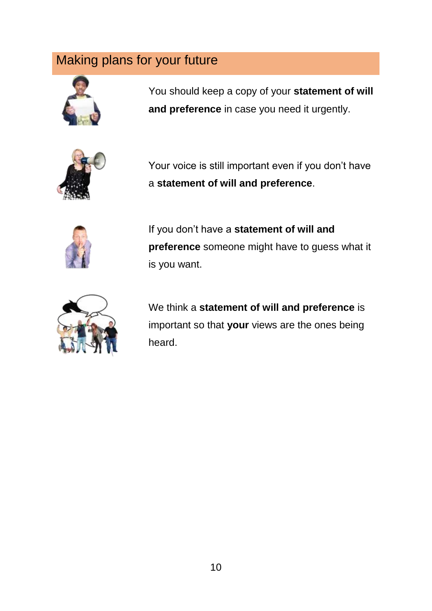

You should keep a copy of your **statement of will and preference** in case you need it urgently.



Your voice is still important even if you don't have a **statement of will and preference**.



If you don't have a **statement of will and preference** someone might have to guess what it is you want.



We think a **statement of will and preference** is important so that **your** views are the ones being heard.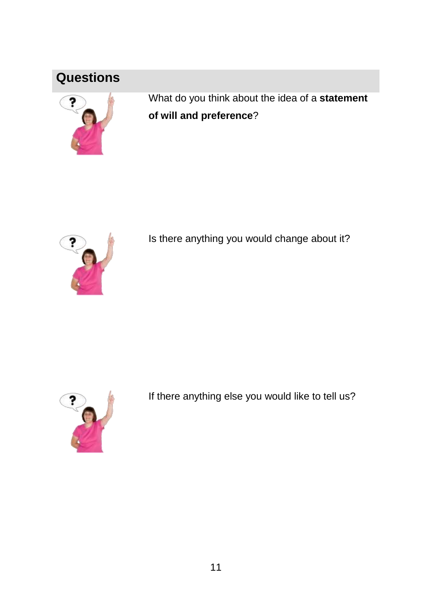### **Questions**



What do you think about the idea of a **statement of will and preference**?



Is there anything you would change about it?



If there anything else you would like to tell us?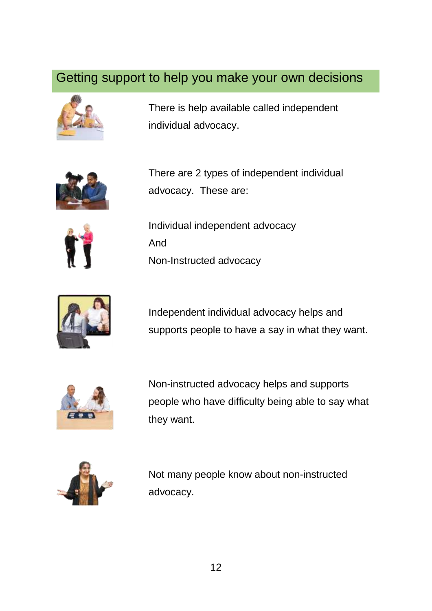#### Getting support to help you make your own decisions



There is help available called independent individual advocacy.



There are 2 types of independent individual advocacy. These are:



Individual independent advocacy And Non-Instructed advocacy



Independent individual advocacy helps and supports people to have a say in what they want.



Non-instructed advocacy helps and supports people who have difficulty being able to say what they want.



Not many people know about non-instructed advocacy.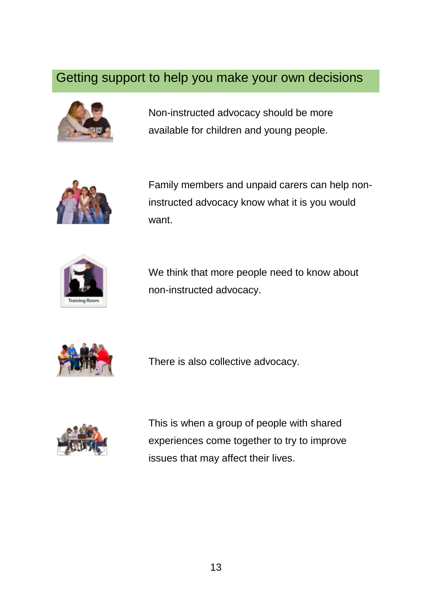#### Getting support to help you make your own decisions



Non-instructed advocacy should be more available for children and young people.



Family members and unpaid carers can help noninstructed advocacy know what it is you would want.



We think that more people need to know about non-instructed advocacy.



There is also collective advocacy.



This is when a group of people with shared experiences come together to try to improve issues that may affect their lives.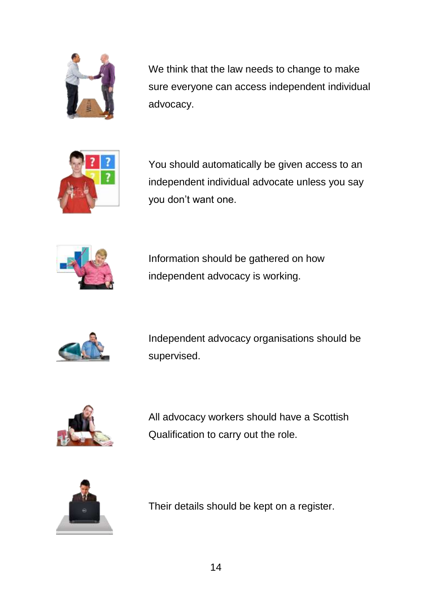

We think that the law needs to change to make sure everyone can access independent individual advocacy.



You should automatically be given access to an independent individual advocate unless you say you don't want one.



Information should be gathered on how independent advocacy is working.



Independent advocacy organisations should be supervised.



All advocacy workers should have a Scottish Qualification to carry out the role.



Their details should be kept on a register.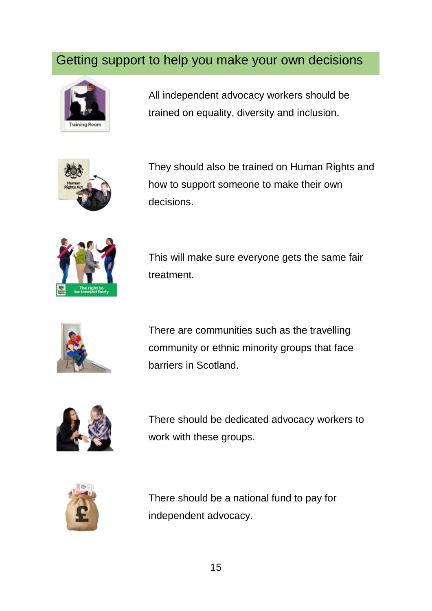#### Getting support to help you make your own decisions



All independent advocacy workers should be trained on equality, diversity and inclusion.



They should also be trained on Human Rights and how to support someone to make their own decisions.



This will make sure everyone gets the same fair treatment.



There are communities such as the travelling community or ethnic minority groups that face barriers in Scotland.



There should be dedicated advocacy workers to work with these groups.



There should be a national fund to pay for independent advocacy.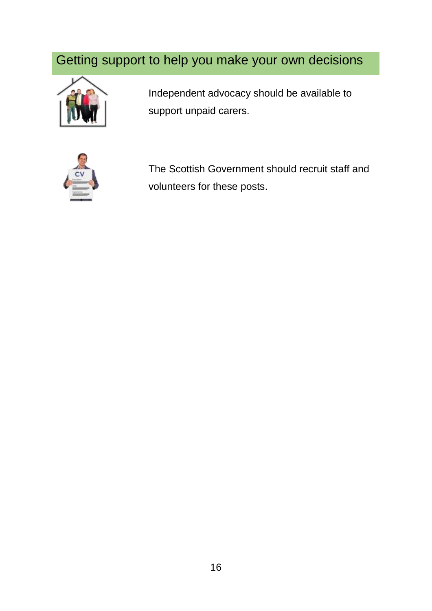# Getting support to help you make your own decisions



Independent advocacy should be available to support unpaid carers.



The Scottish Government should recruit staff and volunteers for these posts.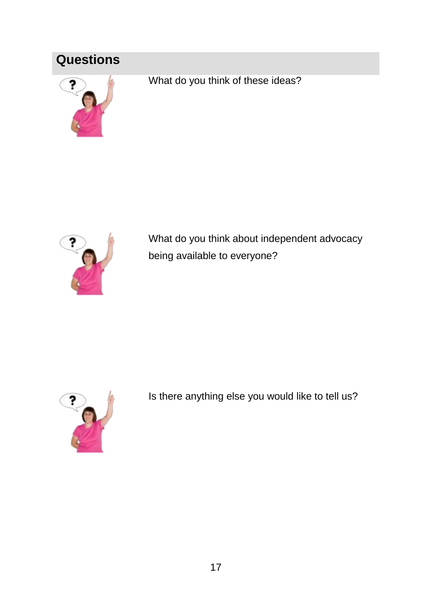# **Questions**



What do you think of these ideas?



What do you think about independent advocacy being available to everyone?



Is there anything else you would like to tell us?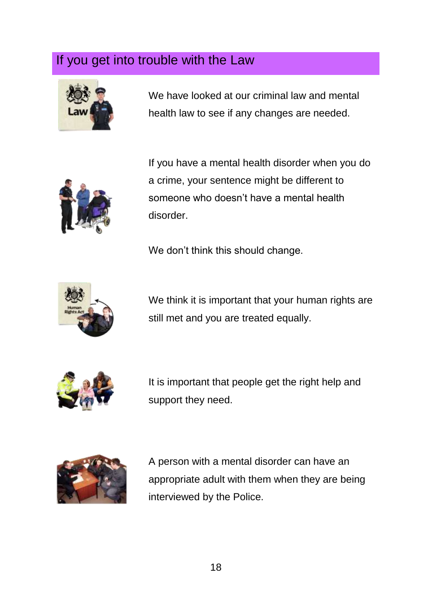

We have looked at our criminal law and mental health law to see if any changes are needed.



If you have a mental health disorder when you do a crime, your sentence might be different to someone who doesn't have a mental health disorder.

We don't think this should change.



We think it is important that your human rights are still met and you are treated equally.



It is important that people get the right help and support they need.



A person with a mental disorder can have an appropriate adult with them when they are being interviewed by the Police.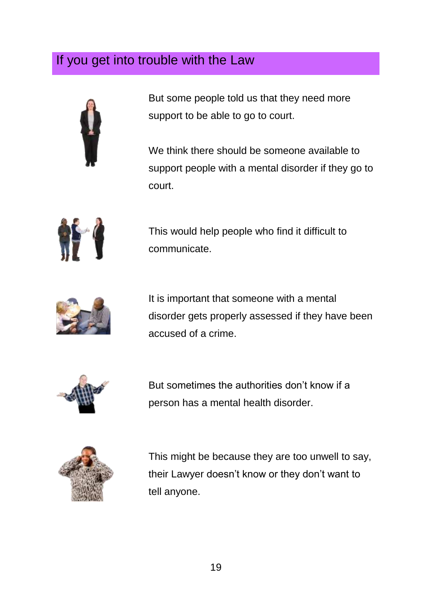

But some people told us that they need more support to be able to go to court.

We think there should be someone available to support people with a mental disorder if they go to court.



This would help people who find it difficult to communicate.



It is important that someone with a mental disorder gets properly assessed if they have been accused of a crime.



But sometimes the authorities don't know if a person has a mental health disorder.



This might be because they are too unwell to say, their Lawyer doesn't know or they don't want to tell anyone.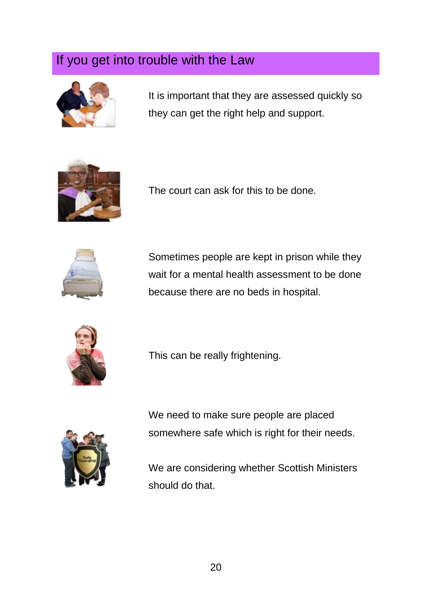

It is important that they are assessed quickly so they can get the right help and support.



The court can ask for this to be done.



Sometimes people are kept in prison while they wait for a mental health assessment to be done because there are no beds in hospital.



This can be really frightening.



We need to make sure people are placed somewhere safe which is right for their needs.

We are considering whether Scottish Ministers should do that.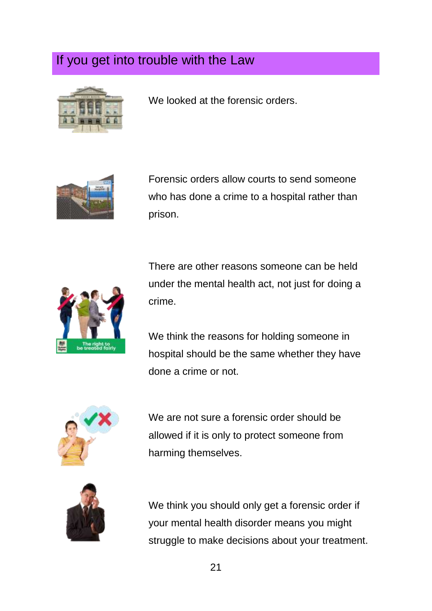

We looked at the forensic orders.



Forensic orders allow courts to send someone who has done a crime to a hospital rather than prison.



There are other reasons someone can be held under the mental health act, not just for doing a crime.

We think the reasons for holding someone in hospital should be the same whether they have done a crime or not.



We are not sure a forensic order should be allowed if it is only to protect someone from harming themselves.



We think you should only get a forensic order if your mental health disorder means you might struggle to make decisions about your treatment.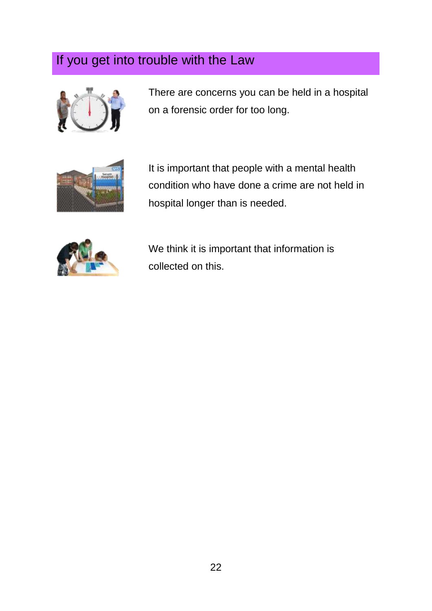

There are concerns you can be held in a hospital on a forensic order for too long.



It is important that people with a mental health condition who have done a crime are not held in hospital longer than is needed.



We think it is important that information is collected on this.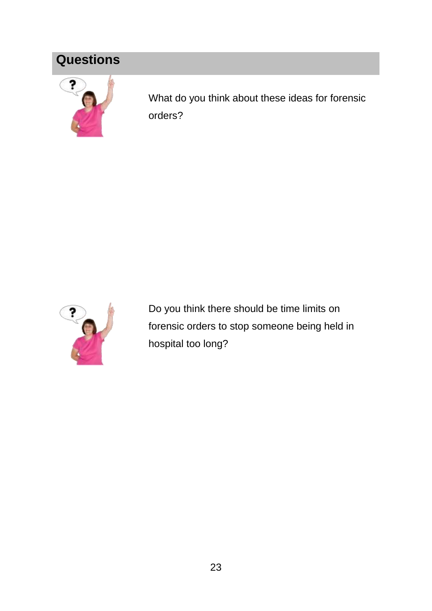# **Questions**



What do you think about these ideas for forensic orders?



Do you think there should be time limits on forensic orders to stop someone being held in hospital too long?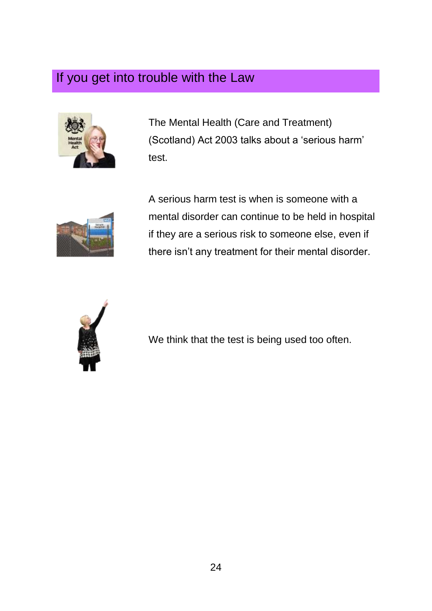

The Mental Health (Care and Treatment) (Scotland) Act 2003 talks about a 'serious harm' test.



A serious harm test is when is someone with a mental disorder can continue to be held in hospital if they are a serious risk to someone else, even if there isn't any treatment for their mental disorder.



We think that the test is being used too often.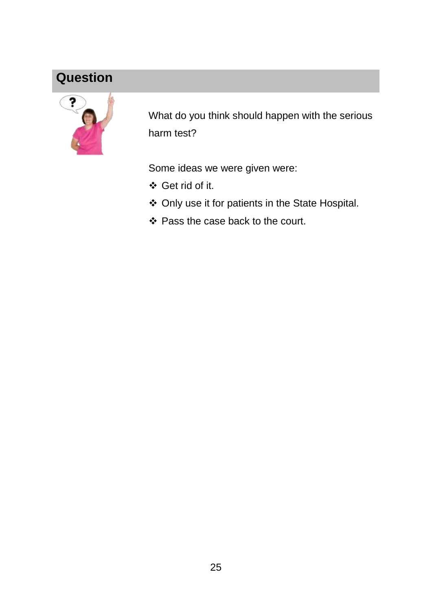## **Question**



What do you think should happen with the serious harm test?

Some ideas we were given were:

- Get rid of it.
- Only use it for patients in the State Hospital.
- Pass the case back to the court.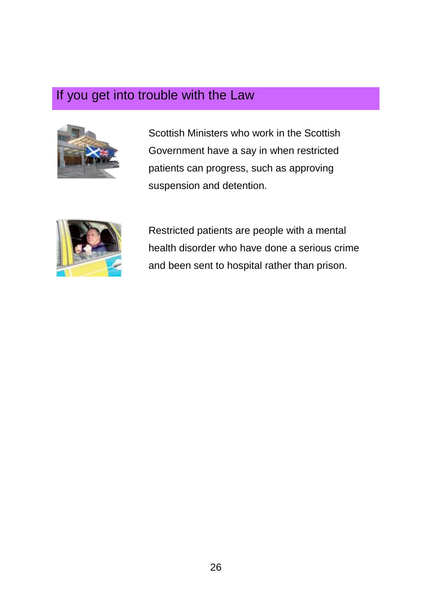

Scottish Ministers who work in the Scottish Government have a say in when restricted patients can progress, such as approving suspension and detention.



Restricted patients are people with a mental health disorder who have done a serious crime and been sent to hospital rather than prison.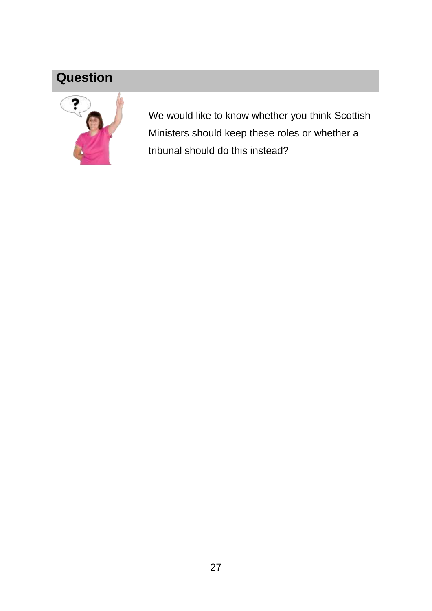### **Question**



We would like to know whether you think Scottish Ministers should keep these roles or whether a tribunal should do this instead?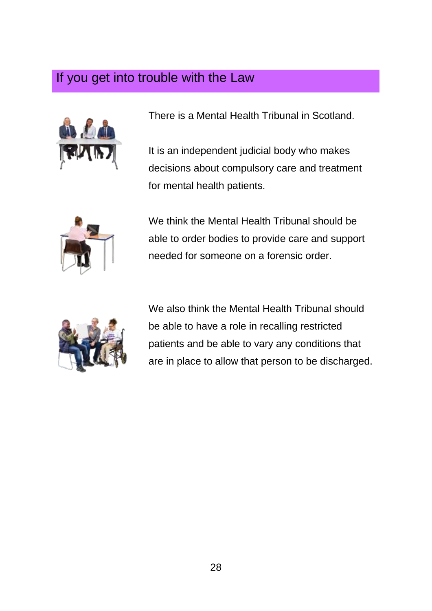

There is a Mental Health Tribunal in Scotland.

It is an independent judicial body who makes decisions about compulsory care and treatment for mental health patients.



We think the Mental Health Tribunal should be able to order bodies to provide care and support needed for someone on a forensic order.



We also think the Mental Health Tribunal should be able to have a role in recalling restricted patients and be able to vary any conditions that are in place to allow that person to be discharged.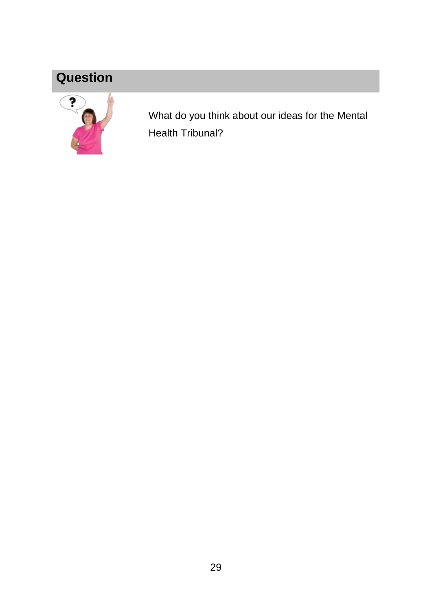# **Question**



What do you think about our ideas for the Mental Health Tribunal?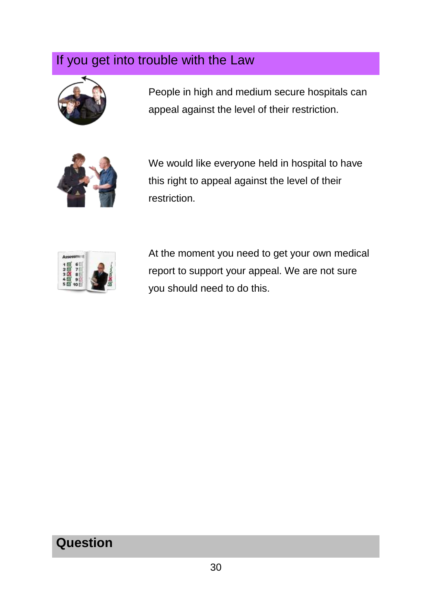

People in high and medium secure hospitals can appeal against the level of their restriction.



We would like everyone held in hospital to have this right to appeal against the level of their restriction.



At the moment you need to get your own medical report to support your appeal. We are not sure you should need to do this.

### **Question**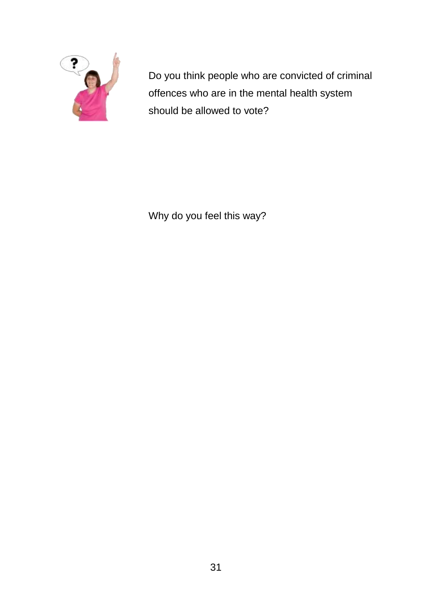

Do you think people who are convicted of criminal offences who are in the mental health system should be allowed to vote?

Why do you feel this way?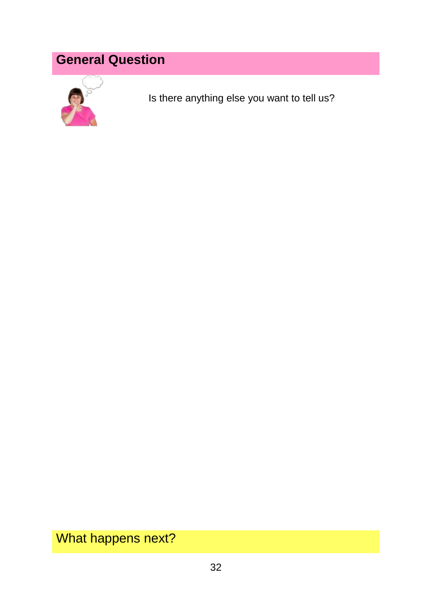# **General Question**



Is there anything else you want to tell us?

What happens next?